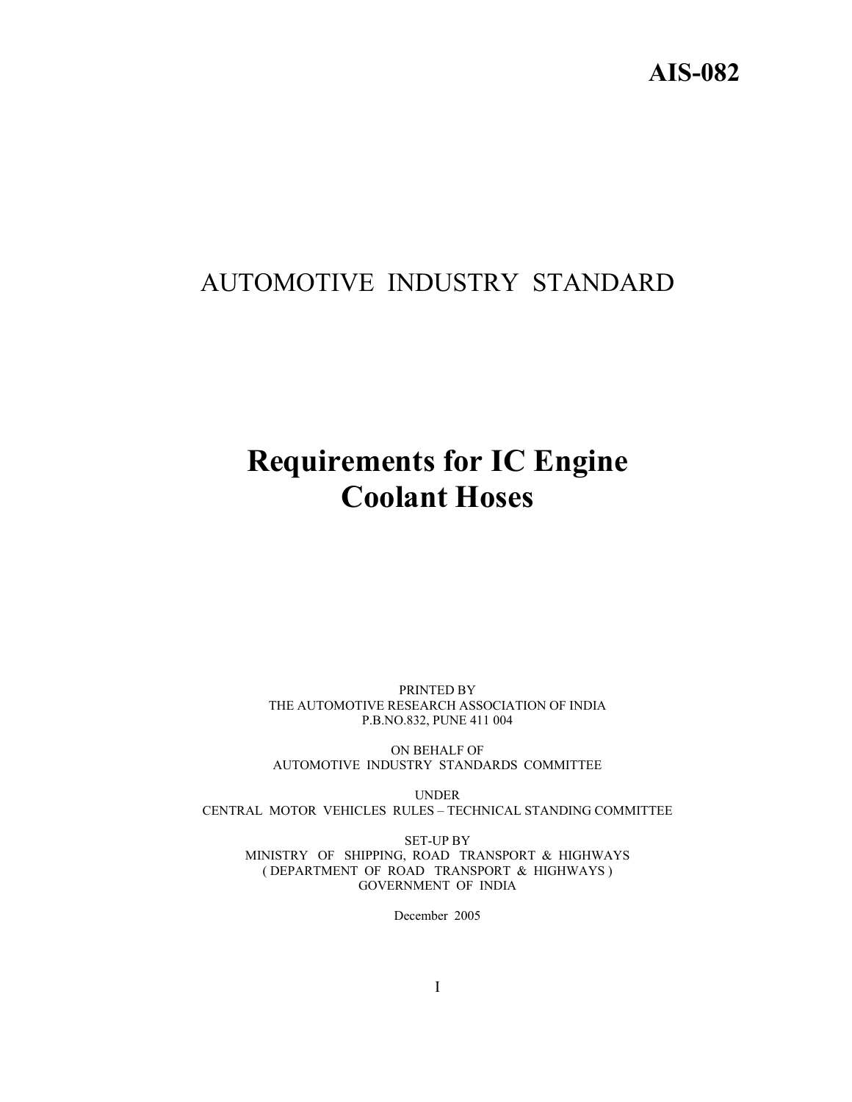# AUTOMOTIVE INDUSTRY STANDARD

# **Requirements for IC Engine Coolant Hoses**

PRINTED BY THE AUTOMOTIVE RESEARCH ASSOCIATION OF INDIA P.B.NO.832, PUNE 411 004

ON BEHALF OF AUTOMOTIVE INDUSTRY STANDARDS COMMITTEE

UNDER CENTRAL MOTOR VEHICLES RULES – TECHNICAL STANDING COMMITTEE

SET-UP BY MINISTRY OF SHIPPING, ROAD TRANSPORT & HIGHWAYS ( DEPARTMENT OF ROAD TRANSPORT & HIGHWAYS ) GOVERNMENT OF INDIA

December 2005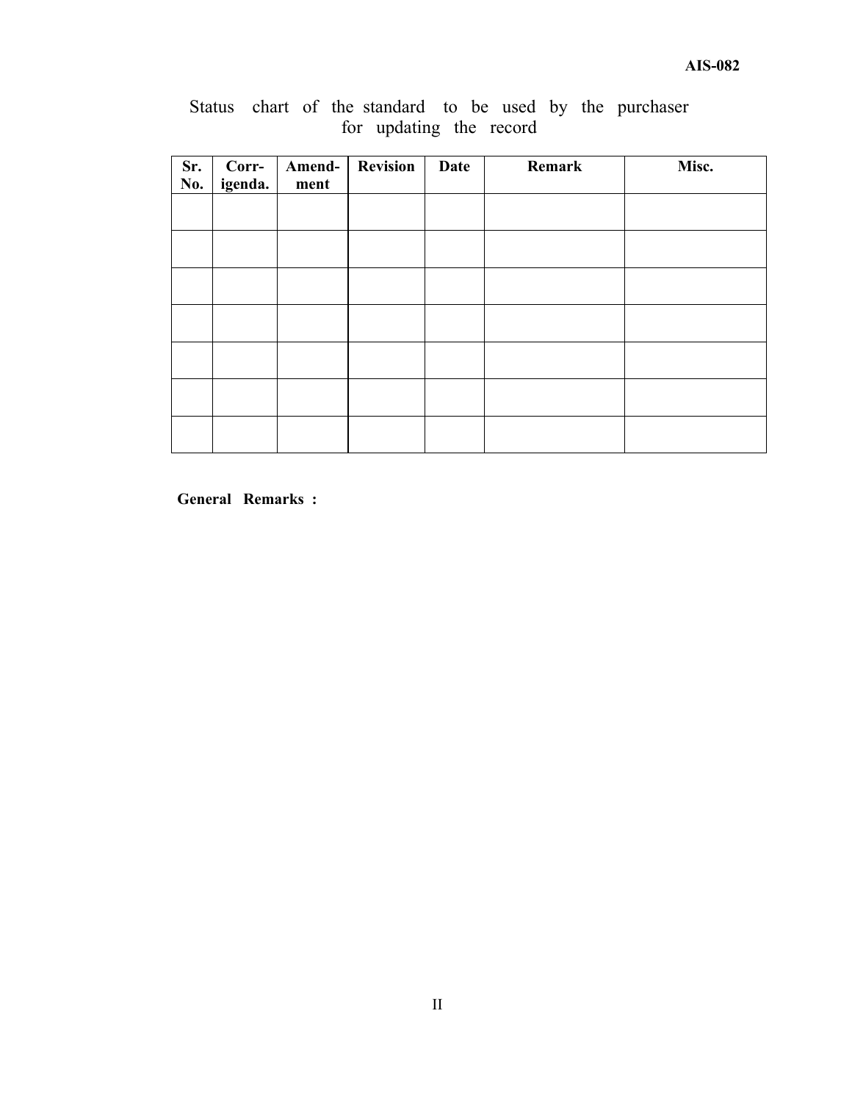|  |  |                         |  |  | Status chart of the standard to be used by the purchaser |
|--|--|-------------------------|--|--|----------------------------------------------------------|
|  |  | for updating the record |  |  |                                                          |

| Sr.<br>No. | Corr-<br>igenda. | Amend-<br>ment | <b>Revision</b> | <b>Date</b> | Remark | Misc. |
|------------|------------------|----------------|-----------------|-------------|--------|-------|
|            |                  |                |                 |             |        |       |
|            |                  |                |                 |             |        |       |
|            |                  |                |                 |             |        |       |
|            |                  |                |                 |             |        |       |
|            |                  |                |                 |             |        |       |
|            |                  |                |                 |             |        |       |
|            |                  |                |                 |             |        |       |

**General Remarks :**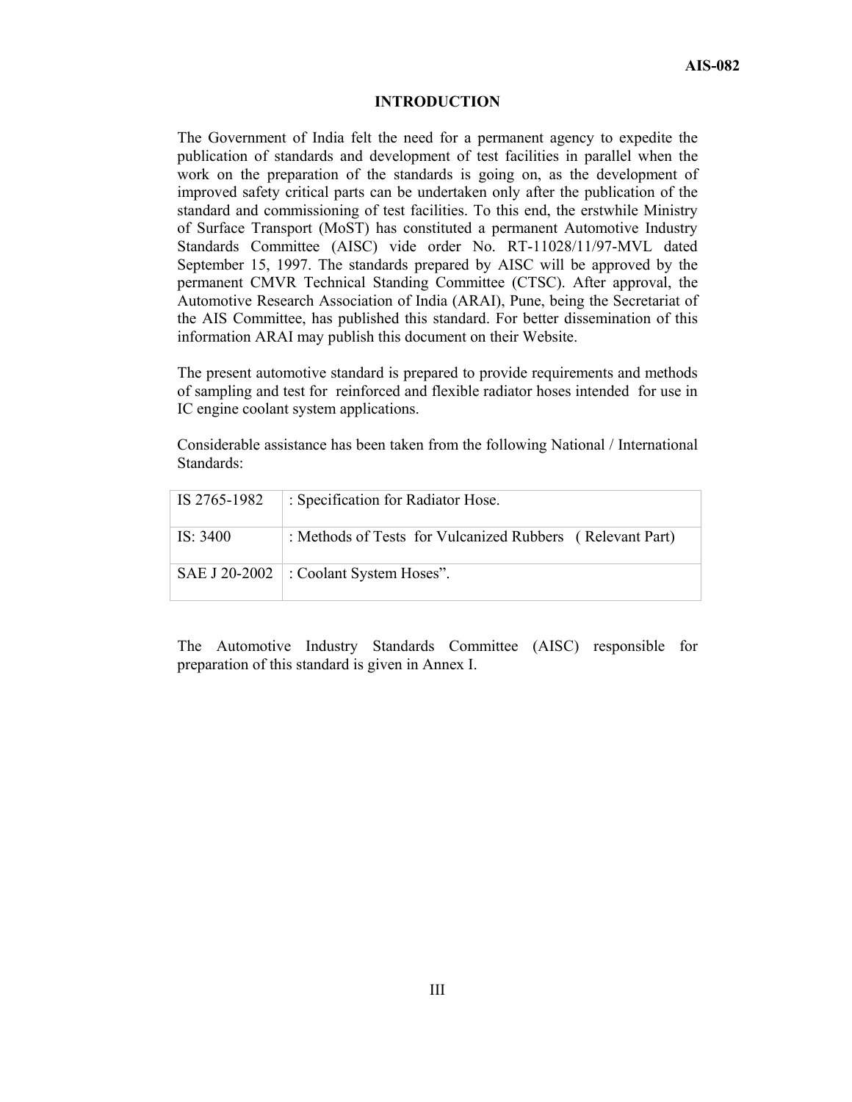#### **INTRODUCTION**

The Government of India felt the need for a permanent agency to expedite the publication of standards and development of test facilities in parallel when the work on the preparation of the standards is going on, as the development of improved safety critical parts can be undertaken only after the publication of the standard and commissioning of test facilities. To this end, the erstwhile Ministry of Surface Transport (MoST) has constituted a permanent Automotive Industry Standards Committee (AISC) vide order No. RT-11028/11/97-MVL dated September 15, 1997. The standards prepared by AISC will be approved by the permanent CMVR Technical Standing Committee (CTSC). After approval, the Automotive Research Association of India (ARAI), Pune, being the Secretariat of the AIS Committee, has published this standard. For better dissemination of this information ARAI may publish this document on their Website.

The present automotive standard is prepared to provide requirements and methods of sampling and test for reinforced and flexible radiator hoses intended for use in IC engine coolant system applications.

Considerable assistance has been taken from the following National / International Standards:

| IS 2765-1982 | : Specification for Radiator Hose.                        |
|--------------|-----------------------------------------------------------|
| IS: 3400     | : Methods of Tests for Vulcanized Rubbers (Relevant Part) |
|              | SAE J 20-2002 : Coolant System Hoses".                    |

The Automotive Industry Standards Committee (AISC) responsible for preparation of this standard is given in Annex I.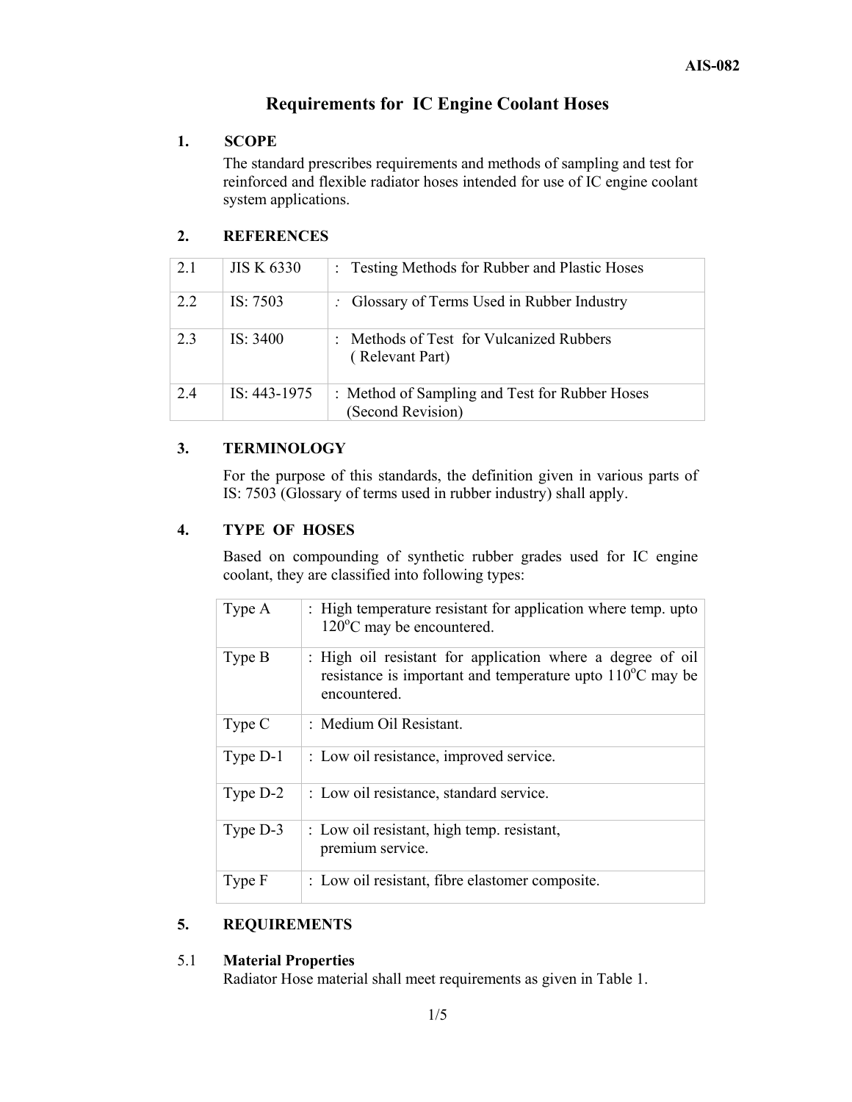### **Requirements for IC Engine Coolant Hoses**

#### **1. SCOPE**

 The standard prescribes requirements and methods of sampling and test for reinforced and flexible radiator hoses intended for use of IC engine coolant system applications.

#### **2. REFERENCES**

| 2.1 | <b>JIS K 6330</b> | : Testing Methods for Rubber and Plastic Hoses                      |
|-----|-------------------|---------------------------------------------------------------------|
| 2.2 | IS: $7503$        | : Glossary of Terms Used in Rubber Industry                         |
| 23  | IS: $3400$        | Methods of Test for Vulcanized Rubbers<br>٠.<br>(Relevant Part)     |
| 24  | IS: 443-1975      | : Method of Sampling and Test for Rubber Hoses<br>(Second Revision) |

#### **3. TERMINOLOGY**

 For the purpose of this standards, the definition given in various parts of IS: 7503 (Glossary of terms used in rubber industry) shall apply.

#### **4. TYPE OF HOSES**

 Based on compounding of synthetic rubber grades used for IC engine coolant, they are classified into following types:

| Type A   | : High temperature resistant for application where temp. upto<br>$120^{\circ}$ C may be encountered.                                              |
|----------|---------------------------------------------------------------------------------------------------------------------------------------------------|
| Type B   | : High oil resistant for application where a degree of oil<br>resistance is important and temperature upto $110^{\circ}$ C may be<br>encountered. |
| Type C   | : Medium Oil Resistant.                                                                                                                           |
| Type D-1 | : Low oil resistance, improved service.                                                                                                           |
| Type D-2 | : Low oil resistance, standard service.                                                                                                           |
| Type D-3 | : Low oil resistant, high temp. resistant,<br>premium service.                                                                                    |
| Type F   | : Low oil resistant, fibre elastomer composite.                                                                                                   |

#### **5. REQUIREMENTS**

#### 5.1 **Material Properties**  Radiator Hose material shall meet requirements as given in Table 1.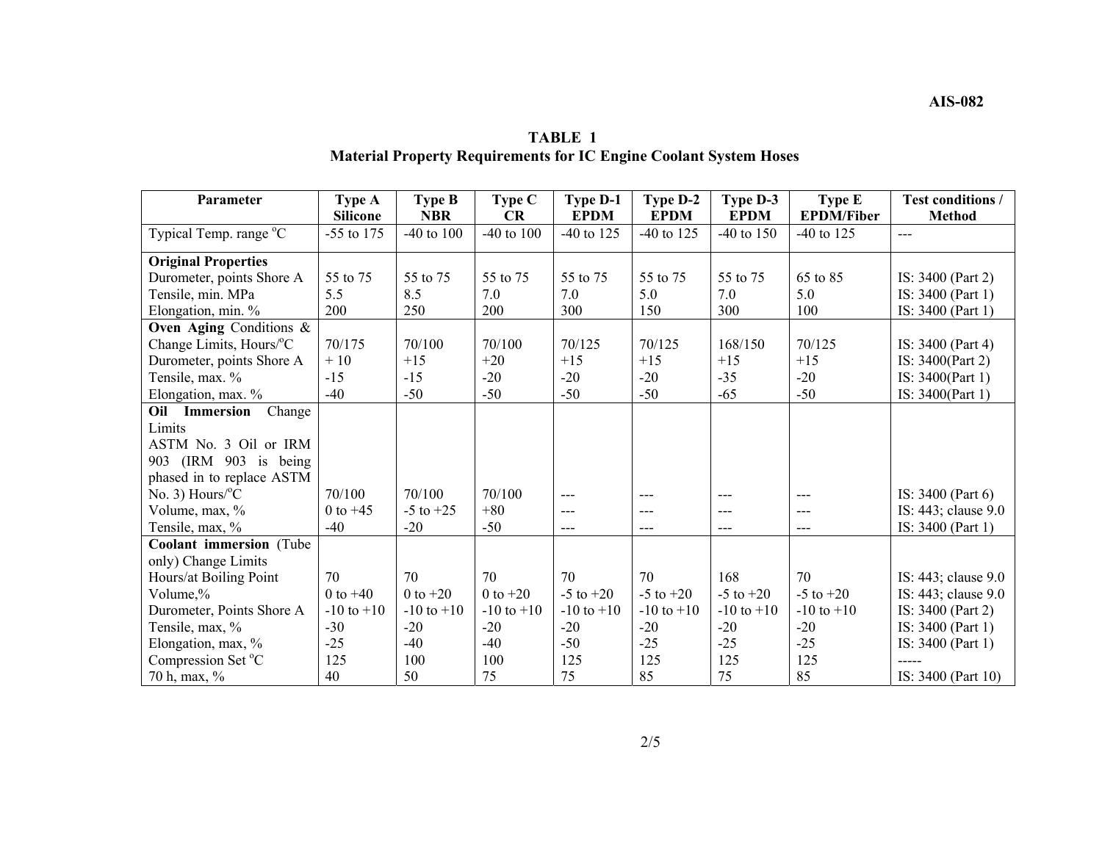| <b>TABLE 1</b>                                                           |
|--------------------------------------------------------------------------|
| <b>Material Property Requirements for IC Engine Coolant System Hoses</b> |

| Parameter                  | Type A          | <b>Type B</b>  | Type C         | <b>Type D-1</b> | Type D-2       | Type D-3       | Type E            | <b>Test conditions /</b> |
|----------------------------|-----------------|----------------|----------------|-----------------|----------------|----------------|-------------------|--------------------------|
|                            | <b>Silicone</b> | <b>NBR</b>     | CR             | <b>EPDM</b>     | <b>EPDM</b>    | <b>EPDM</b>    | <b>EPDM/Fiber</b> | <b>Method</b>            |
| Typical Temp. range °C     | -55 to 175      | $-40$ to $100$ | -40 to $100$   | $-40$ to 125    | $-40$ to 125   | $-40$ to $150$ | $-40$ to 125      | $---$                    |
| <b>Original Properties</b> |                 |                |                |                 |                |                |                   |                          |
| Durometer, points Shore A  | 55 to 75        | 55 to 75       | 55 to 75       | 55 to 75        | 55 to 75       | 55 to 75       | 65 to 85          | IS: 3400 (Part 2)        |
| Tensile, min. MPa          | 5.5             | 8.5            | 7.0            | 7.0             | 5.0            | 7.0            | 5.0               | IS: 3400 (Part 1)        |
| Elongation, min. %         | 200             | 250            | 200            | 300             | 150            | 300            | 100               | IS: 3400 (Part 1)        |
| Oven Aging Conditions $\&$ |                 |                |                |                 |                |                |                   |                          |
| Change Limits, Hours/°C    | 70/175          | 70/100         | 70/100         | 70/125          | 70/125         | 168/150        | 70/125            | IS: 3400 (Part 4)        |
| Durometer, points Shore A  | $+10$           | $+15$          | $+20$          | $+15$           | $+15$          | $+15$          | $+15$             | IS: 3400(Part 2)         |
| Tensile, max. %            | $-15$           | $-15$          | $-20$          | $-20$           | $-20$          | $-35$          | $-20$             | IS: 3400(Part 1)         |
| Elongation, max. %         | $-40$           | $-50$          | $-50$          | $-50$           | $-50$          | $-65$          | $-50$             | IS: 3400(Part 1)         |
| Change<br>Oil<br>Immersion |                 |                |                |                 |                |                |                   |                          |
| Limits                     |                 |                |                |                 |                |                |                   |                          |
| ASTM No. 3 Oil or IRM      |                 |                |                |                 |                |                |                   |                          |
| 903 (IRM 903 is being      |                 |                |                |                 |                |                |                   |                          |
| phased in to replace ASTM  |                 |                |                |                 |                |                |                   |                          |
| No. 3) Hours/ $\rm ^{o}C$  | 70/100          | 70/100         | 70/100         | ---             | ---            | ---            | ---               | IS: 3400 (Part 6)        |
| Volume, max, %             | $0$ to $+45$    | $-5$ to $+25$  | $+80$          | $---$           | $---$          | $---$          | $---$             | IS: 443; clause 9.0      |
| Tensile, max, %            | $-40$           | $-20$          | $-50$          | ---             | $---$          | $---$          | $---$             | IS: 3400 (Part 1)        |
| Coolant immersion (Tube    |                 |                |                |                 |                |                |                   |                          |
| only) Change Limits        |                 |                |                |                 |                |                |                   |                          |
| Hours/at Boiling Point     | 70              | 70             | 70             | 70              | 70             | 168            | 70                | IS: 443; clause 9.0      |
| Volume,%                   | $0$ to $+40$    | $0$ to $+20$   | $0$ to $+20$   | $-5$ to $+20$   | $-5$ to $+20$  | $-5$ to $+20$  | $-5$ to $+20$     | IS: 443; clause 9.0      |
| Durometer, Points Shore A  | $-10$ to $+10$  | $-10$ to $+10$ | $-10$ to $+10$ | $-10$ to $+10$  | $-10$ to $+10$ | $-10$ to $+10$ | $-10$ to $+10$    | IS: 3400 (Part 2)        |
| Tensile, max, %            | $-30$           | $-20$          | $-20$          | $-20$           | $-20$          | $-20$          | $-20$             | IS: 3400 (Part 1)        |
| Elongation, max, %         | $-25$           | $-40$          | $-40$          | $-50$           | $-25$          | $-25$          | $-25$             | IS: 3400 (Part 1)        |
| Compression Set °C         | 125             | 100            | 100            | 125             | 125            | 125            | 125               |                          |
| 70 h, max, %               | 40              | 50             | 75             | 75              | 85             | 75             | 85                | IS: 3400 (Part 10)       |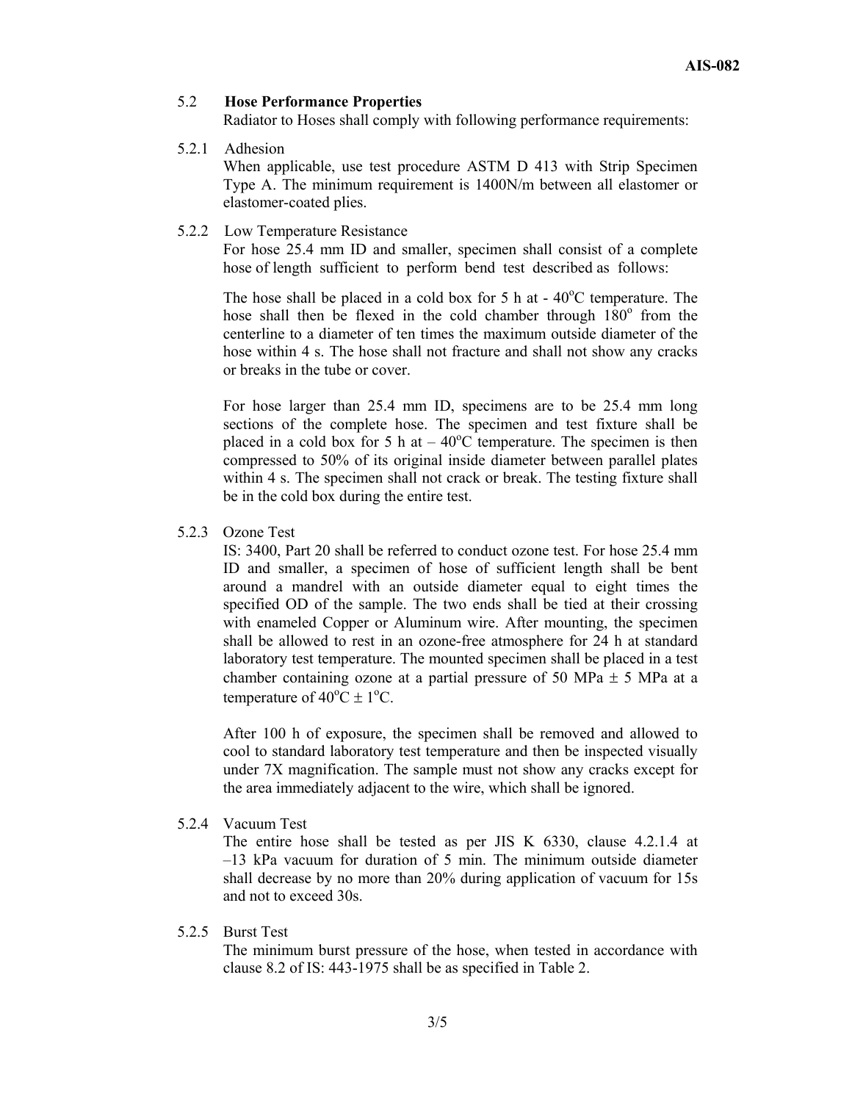#### 5.2 **Hose Performance Properties**

Radiator to Hoses shall comply with following performance requirements:

5.2.1 Adhesion

When applicable, use test procedure ASTM D 413 with Strip Specimen Type A. The minimum requirement is 1400N/m between all elastomer or elastomer-coated plies.

5.2.2 Low Temperature Resistance

For hose 25.4 mm ID and smaller, specimen shall consist of a complete hose of length sufficient to perform bend test described as follows:

The hose shall be placed in a cold box for 5 h at  $-40^{\circ}$ C temperature. The hose shall then be flexed in the cold chamber through  $180^\circ$  from the centerline to a diameter of ten times the maximum outside diameter of the hose within 4 s. The hose shall not fracture and shall not show any cracks or breaks in the tube or cover.

 For hose larger than 25.4 mm ID, specimens are to be 25.4 mm long sections of the complete hose. The specimen and test fixture shall be placed in a cold box for 5 h at  $-40^{\circ}$ C temperature. The specimen is then compressed to 50% of its original inside diameter between parallel plates within 4 s. The specimen shall not crack or break. The testing fixture shall be in the cold box during the entire test.

#### 5.2.3 Ozone Test

 IS: 3400, Part 20 shall be referred to conduct ozone test. For hose 25.4 mm ID and smaller, a specimen of hose of sufficient length shall be bent around a mandrel with an outside diameter equal to eight times the specified OD of the sample. The two ends shall be tied at their crossing with enameled Copper or Aluminum wire. After mounting, the specimen shall be allowed to rest in an ozone-free atmosphere for 24 h at standard laboratory test temperature. The mounted specimen shall be placed in a test chamber containing ozone at a partial pressure of 50 MPa  $\pm$  5 MPa at a temperature of  $40^{\circ}$ C  $\pm$  1<sup>o</sup>C.

 After 100 h of exposure, the specimen shall be removed and allowed to cool to standard laboratory test temperature and then be inspected visually under 7X magnification. The sample must not show any cracks except for the area immediately adjacent to the wire, which shall be ignored.

5.2.4 Vacuum Test

 The entire hose shall be tested as per JIS K 6330, clause 4.2.1.4 at –13 kPa vacuum for duration of 5 min. The minimum outside diameter shall decrease by no more than 20% during application of vacuum for 15s and not to exceed 30s.

#### 5.2.5 Burst Test

 The minimum burst pressure of the hose, when tested in accordance with clause 8.2 of IS: 443-1975 shall be as specified in Table 2.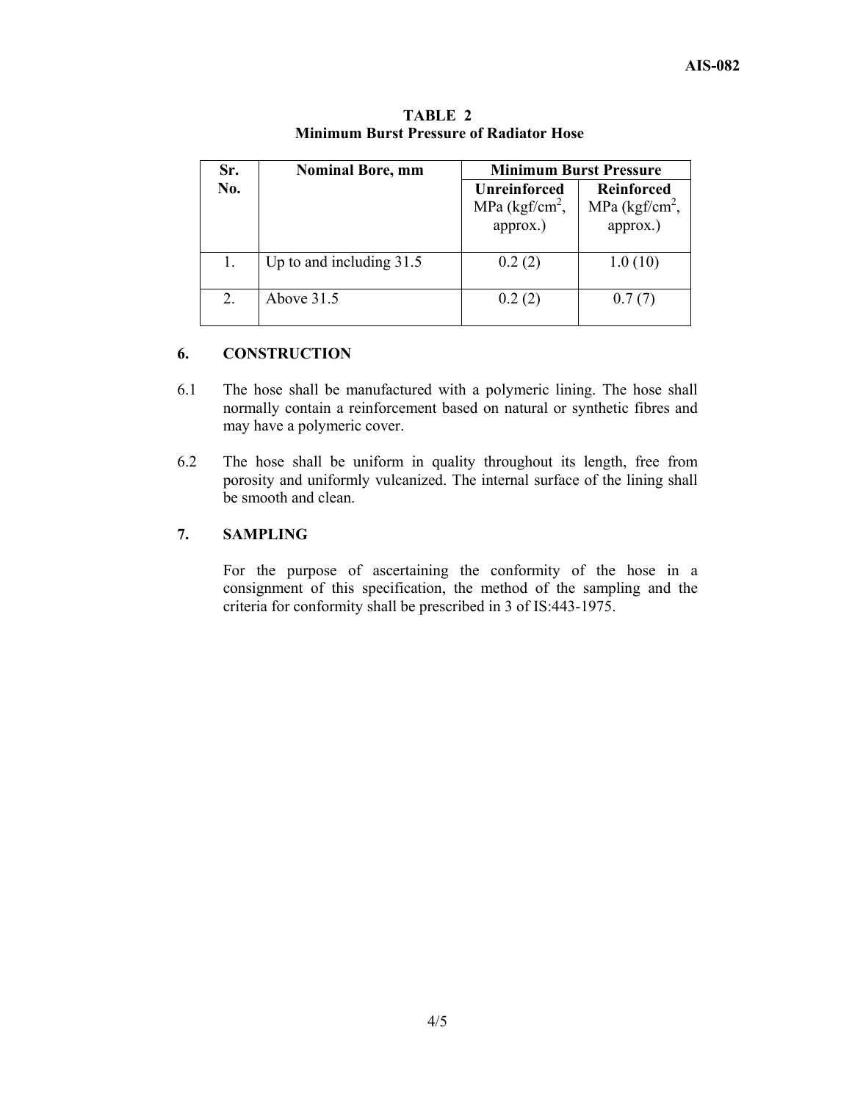| Sr. | <b>Nominal Bore, mm</b>    | <b>Minimum Burst Pressure</b>                         |                                                     |  |  |
|-----|----------------------------|-------------------------------------------------------|-----------------------------------------------------|--|--|
| No. |                            | <b>Unreinforced</b><br>MPa $(kgf/cm^2)$ ,<br>approx.) | <b>Reinforced</b><br>MPa $(kgf/cm^2)$ ,<br>approx.) |  |  |
|     | Up to and including $31.5$ | 0.2(2)                                                | 1.0(10)                                             |  |  |
| 2.  | Above $31.5$               | 0.2(2)                                                | 0.7(7)                                              |  |  |

**TABLE 2 Minimum Burst Pressure of Radiator Hose** 

#### **6. CONSTRUCTION**

- 6.1 The hose shall be manufactured with a polymeric lining. The hose shall normally contain a reinforcement based on natural or synthetic fibres and may have a polymeric cover.
- 6.2 The hose shall be uniform in quality throughout its length, free from porosity and uniformly vulcanized. The internal surface of the lining shall be smooth and clean.

#### **7. SAMPLING**

 For the purpose of ascertaining the conformity of the hose in a consignment of this specification, the method of the sampling and the criteria for conformity shall be prescribed in 3 of IS:443-1975.